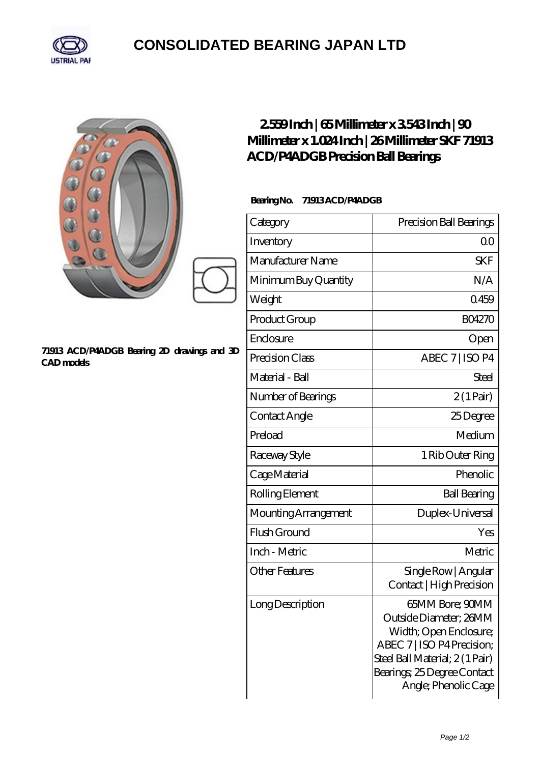

## **[CONSOLIDATED BEARING JAPAN LTD](https://m.psp11.de)**

| 882<br>71913 ACD/P4ADGB Bearing 2D drawings and 3D<br>CAD models | 2559Inch   65Millimeter x 3543Inch   90<br>Millimeter x 1.024 Inch   26 Millimeter SKF 71913<br>ACD/P4ADGB Precision Ball Bearings<br>BearingNo.<br>71913ACD/P4ADGB |                                                                                                                                                                                            |
|------------------------------------------------------------------|---------------------------------------------------------------------------------------------------------------------------------------------------------------------|--------------------------------------------------------------------------------------------------------------------------------------------------------------------------------------------|
|                                                                  | Category                                                                                                                                                            | Precision Ball Bearings                                                                                                                                                                    |
|                                                                  | Inventory                                                                                                                                                           | 0 <sub>0</sub>                                                                                                                                                                             |
|                                                                  | Manufacturer Name                                                                                                                                                   | <b>SKF</b>                                                                                                                                                                                 |
|                                                                  | Minimum Buy Quantity                                                                                                                                                | N/A                                                                                                                                                                                        |
|                                                                  | Weight                                                                                                                                                              | 0459                                                                                                                                                                                       |
|                                                                  | Product Group                                                                                                                                                       | <b>BO4270</b>                                                                                                                                                                              |
|                                                                  | Enclosure                                                                                                                                                           | Open                                                                                                                                                                                       |
|                                                                  | Precision Class                                                                                                                                                     | ABEC 7   ISO P4                                                                                                                                                                            |
|                                                                  | Material - Ball                                                                                                                                                     | Steel                                                                                                                                                                                      |
|                                                                  | Number of Bearings                                                                                                                                                  | $2(1 \text{Pair})$                                                                                                                                                                         |
|                                                                  | Contact Angle                                                                                                                                                       | 25Degree                                                                                                                                                                                   |
|                                                                  | Preload                                                                                                                                                             | Medium                                                                                                                                                                                     |
|                                                                  | Raceway Style                                                                                                                                                       | 1 Rib Outer Ring                                                                                                                                                                           |
|                                                                  | Cage Material                                                                                                                                                       | Phenolic                                                                                                                                                                                   |
|                                                                  | Rolling Element                                                                                                                                                     | <b>Ball Bearing</b>                                                                                                                                                                        |
|                                                                  | Mounting Arrangement                                                                                                                                                | Duplex-Universal                                                                                                                                                                           |
|                                                                  | Flush Ground                                                                                                                                                        | Yes                                                                                                                                                                                        |
|                                                                  | Inch - Metric                                                                                                                                                       | Metric                                                                                                                                                                                     |
|                                                                  | <b>Other Features</b>                                                                                                                                               | Single Row   Angular<br>Contact   High Precision                                                                                                                                           |
|                                                                  | Long Description                                                                                                                                                    | 65MM Bore; 90MM<br>Outside Diameter; 26MM<br>Width; Open Enclosure;<br>ABEC 7   ISO P4 Precision;<br>Steel Ball Material; 2(1 Pair)<br>Bearings, 25 Degree Contact<br>Angle; Phenolic Cage |